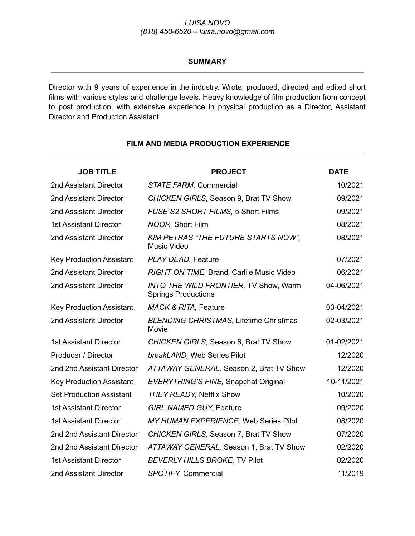# *LUISA NOVO (818) 450-6520 – luisa.novo@gmail.com*

#### **SUMMARY**

Director with 9 years of experience in the industry. Wrote, produced, directed and edited short films with various styles and challenge levels. Heavy knowledge of film production from concept to post production, with extensive experience in physical production as a Director, Assistant Director and Production Assistant.

| <b>JOB TITLE</b>                | <b>PROJECT</b>                                                             | <b>DATE</b> |
|---------------------------------|----------------------------------------------------------------------------|-------------|
| 2nd Assistant Director          | STATE FARM, Commercial                                                     | 10/2021     |
| 2nd Assistant Director          | CHICKEN GIRLS, Season 9, Brat TV Show                                      | 09/2021     |
| 2nd Assistant Director          | FUSE S2 SHORT FILMS, 5 Short Films                                         | 09/2021     |
| <b>1st Assistant Director</b>   | NOOR, Short Film                                                           | 08/2021     |
| 2nd Assistant Director          | <b>KIM PETRAS "THE FUTURE STARTS NOW".</b><br><b>Music Video</b>           | 08/2021     |
| <b>Key Production Assistant</b> | PLAY DEAD, Feature                                                         | 07/2021     |
| 2nd Assistant Director          | RIGHT ON TIME, Brandi Carlile Music Video                                  | 06/2021     |
| 2nd Assistant Director          | <b>INTO THE WILD FRONTIER, TV Show, Warm</b><br><b>Springs Productions</b> | 04-06/2021  |
| <b>Key Production Assistant</b> | MACK & RITA, Feature                                                       | 03-04/2021  |
| 2nd Assistant Director          | <b>BLENDING CHRISTMAS, Lifetime Christmas</b><br>Movie                     | 02-03/2021  |
| <b>1st Assistant Director</b>   | CHICKEN GIRLS, Season 8, Brat TV Show                                      | 01-02/2021  |
| Producer / Director             | breakLAND, Web Series Pilot                                                | 12/2020     |
| 2nd 2nd Assistant Director      | ATTAWAY GENERAL, Season 2, Brat TV Show                                    | 12/2020     |
| <b>Key Production Assistant</b> | EVERYTHING'S FINE, Snapchat Original                                       | 10-11/2021  |
| <b>Set Production Assistant</b> | <b>THEY READY, Netflix Show</b>                                            | 10/2020     |
| <b>1st Assistant Director</b>   | <b>GIRL NAMED GUY, Feature</b>                                             | 09/2020     |
| <b>1st Assistant Director</b>   | MY HUMAN EXPERIENCE, Web Series Pilot                                      | 08/2020     |
| 2nd 2nd Assistant Director      | CHICKEN GIRLS, Season 7, Brat TV Show                                      | 07/2020     |
| 2nd 2nd Assistant Director      | ATTAWAY GENERAL, Season 1, Brat TV Show                                    | 02/2020     |
| <b>1st Assistant Director</b>   | <b>BEVERLY HILLS BROKE, TV Pilot</b>                                       | 02/2020     |
| 2nd Assistant Director          | <b>SPOTIFY, Commercial</b>                                                 | 11/2019     |

### **FILM AND MEDIA PRODUCTION EXPERIENCE**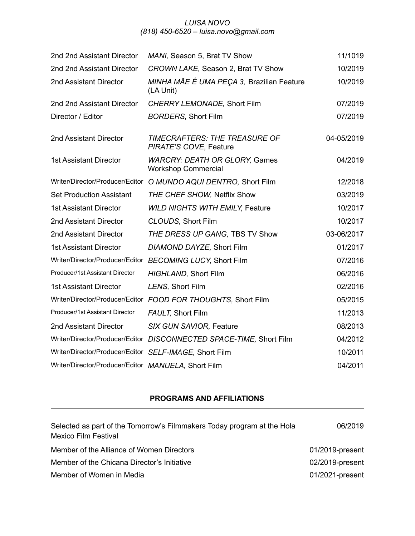# *LUISA NOVO (818) 450-6520 – luisa.novo@gmail.com*

| 2nd 2nd Assistant Director                             | MANI, Season 5, Brat TV Show                                        | 11/1019    |
|--------------------------------------------------------|---------------------------------------------------------------------|------------|
| 2nd 2nd Assistant Director                             | CROWN LAKE, Season 2, Brat TV Show                                  | 10/2019    |
| 2nd Assistant Director                                 | MINHA MÃE É UMA PEÇA 3, Brazilian Feature<br>(LA Unit)              | 10/2019    |
| 2nd 2nd Assistant Director                             | CHERRY LEMONADE, Short Film                                         | 07/2019    |
| Director / Editor                                      | <b>BORDERS, Short Film</b>                                          | 07/2019    |
| 2nd Assistant Director                                 | TIMECRAFTERS: THE TREASURE OF<br>PIRATE'S COVE, Feature             | 04-05/2019 |
| <b>1st Assistant Director</b>                          | <b>WARCRY: DEATH OR GLORY, Games</b><br><b>Workshop Commercial</b>  | 04/2019    |
|                                                        | Writer/Director/Producer/Editor O MUNDO AQUI DENTRO, Short Film     | 12/2018    |
| <b>Set Production Assistant</b>                        | THE CHEF SHOW, Netflix Show                                         | 03/2019    |
| <b>1st Assistant Director</b>                          | <b>WILD NIGHTS WITH EMILY, Feature</b>                              | 10/2017    |
| 2nd Assistant Director                                 | CLOUDS, Short Film                                                  | 10/2017    |
| 2nd Assistant Director                                 | THE DRESS UP GANG, TBS TV Show                                      | 03-06/2017 |
| <b>1st Assistant Director</b>                          | DIAMOND DAYZE, Short Film                                           | 01/2017    |
|                                                        | Writer/Director/Producer/Editor BECOMING LUCY, Short Film           | 07/2016    |
| Producer/1st Assistant Director                        | HIGHLAND, Short Film                                                | 06/2016    |
| <b>1st Assistant Director</b>                          | LENS, Short Film                                                    | 02/2016    |
|                                                        | Writer/Director/Producer/Editor FOOD FOR THOUGHTS, Short Film       | 05/2015    |
| Producer/1st Assistant Director                        | <b>FAULT, Short Film</b>                                            | 11/2013    |
| 2nd Assistant Director                                 | SIX GUN SAVIOR, Feature                                             | 08/2013    |
|                                                        | Writer/Director/Producer/Editor DISCONNECTED SPACE-TIME, Short Film | 04/2012    |
| Writer/Director/Producer/Editor SELF-IMAGE, Short Film |                                                                     | 10/2011    |
| Writer/Director/Producer/Editor MANUELA, Short Film    |                                                                     | 04/2011    |

# **PROGRAMS AND AFFILIATIONS**

| Selected as part of the Tomorrow's Filmmakers Today program at the Hola<br><b>Mexico Film Festival</b> | 06/2019         |
|--------------------------------------------------------------------------------------------------------|-----------------|
| Member of the Alliance of Women Directors                                                              | 01/2019-present |
| Member of the Chicana Director's Initiative                                                            | 02/2019-present |
| Member of Women in Media                                                                               | 01/2021-present |